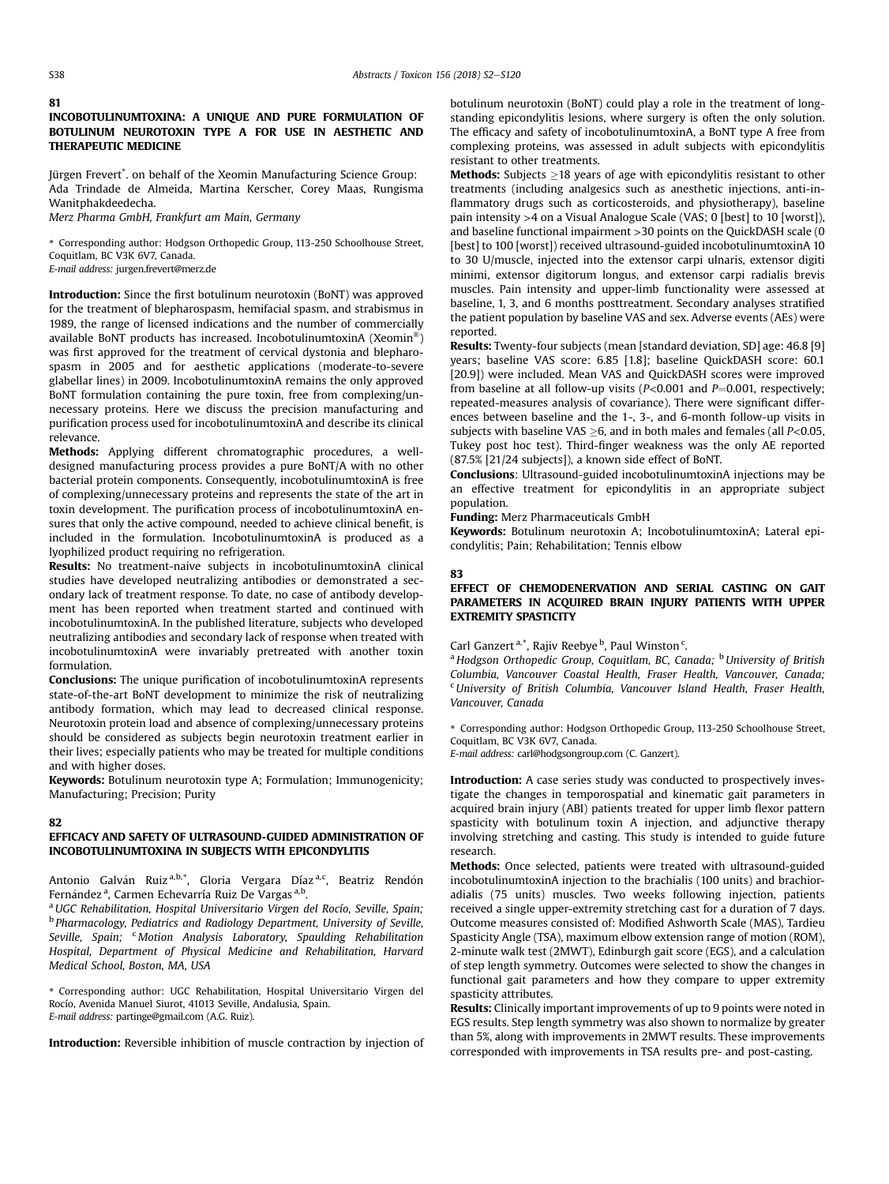#### 81

### INCOBOTULINUMTOXINA: A UNIQUE AND PURE FORMULATION OF BOTULINUM NEUROTOXIN TYPE A FOR USE IN AESTHETIC AND THERAPEUTIC MEDICINE

Jürgen Frevert\* . on behalf of the Xeomin Manufacturing Science Group: Ada Trindade de Almeida, Martina Kerscher, Corey Maas, Rungisma Wanitphakdeedecha.

Merz Pharma GmbH, Frankfurt am Main, Germany

\* Corresponding author: Hodgson Orthopedic Group, 113-250 Schoolhouse Street, Coquitlam, BC V3K 6V7, Canada.

E-mail address: jurgen.frevert@merz.de

Introduction: Since the first botulinum neurotoxin (BoNT) was approved for the treatment of blepharospasm, hemifacial spasm, and strabismus in 1989, the range of licensed indications and the number of commercially available BoNT products has increased. IncobotulinumtoxinA (Xeomin®) was first approved for the treatment of cervical dystonia and blepharospasm in 2005 and for aesthetic applications (moderate-to-severe glabellar lines) in 2009. IncobotulinumtoxinA remains the only approved BoNT formulation containing the pure toxin, free from complexing/unnecessary proteins. Here we discuss the precision manufacturing and purification process used for incobotulinumtoxinA and describe its clinical relevance.

Methods: Applying different chromatographic procedures, a welldesigned manufacturing process provides a pure BoNT/A with no other bacterial protein components. Consequently, incobotulinumtoxinA is free of complexing/unnecessary proteins and represents the state of the art in toxin development. The purification process of incobotulinumtoxinA ensures that only the active compound, needed to achieve clinical benefit, is included in the formulation. IncobotulinumtoxinA is produced as a lyophilized product requiring no refrigeration.

Results: No treatment-naive subjects in incobotulinumtoxinA clinical studies have developed neutralizing antibodies or demonstrated a secondary lack of treatment response. To date, no case of antibody development has been reported when treatment started and continued with incobotulinumtoxinA. In the published literature, subjects who developed neutralizing antibodies and secondary lack of response when treated with incobotulinumtoxinA were invariably pretreated with another toxin formulation.

Conclusions: The unique purification of incobotulinumtoxinA represents state-of-the-art BoNT development to minimize the risk of neutralizing antibody formation, which may lead to decreased clinical response. Neurotoxin protein load and absence of complexing/unnecessary proteins should be considered as subjects begin neurotoxin treatment earlier in their lives; especially patients who may be treated for multiple conditions and with higher doses.

Keywords: Botulinum neurotoxin type A; Formulation; Immunogenicity; Manufacturing; Precision; Purity

### 82

# EFFICACY AND SAFETY OF ULTRASOUND-GUIDED ADMINISTRATION OF INCOBOTULINUMTOXINA IN SUBJECTS WITH EPICONDYLITIS

Antonio Galván Ruiz<sup>a,b,\*</sup>, Gloria Vergara Díaz<sup>a,c</sup>, Beatriz Rendón Fernández <sup>a</sup>, Carmen Echevarría Ruiz De Vargas <sup>a,b</sup>.

<sup>a</sup> UGC Rehabilitation, Hospital Universitario Virgen del Rocío, Seville, Spain; **b Pharmacology, Pediatrics and Radiology Department, University of Seville,** Seville, Spain; <sup>c</sup> Motion Analysis Laboratory, Spaulding Rehabilitation Hospital, Department of Physical Medicine and Rehabilitation, Harvard Medical School, Boston, MA, USA

\* Corresponding author: UGC Rehabilitation, Hospital Universitario Virgen del Rocío, Avenida Manuel Siurot, 41013 Seville, Andalusia, Spain. E-mail address: partinge@gmail.com (A.G. Ruiz).

Introduction: Reversible inhibition of muscle contraction by injection of

botulinum neurotoxin (BoNT) could play a role in the treatment of longstanding epicondylitis lesions, where surgery is often the only solution. The efficacy and safety of incobotulinumtoxinA, a BoNT type A free from complexing proteins, was assessed in adult subjects with epicondylitis resistant to other treatments.

**Methods:** Subjects  $\geq$  18 years of age with epicondylitis resistant to other treatments (including analgesics such as anesthetic injections, anti-inflammatory drugs such as corticosteroids, and physiotherapy), baseline pain intensity >4 on a Visual Analogue Scale (VAS; 0 [best] to 10 [worst]), and baseline functional impairment >30 points on the QuickDASH scale (0 [best] to 100 [worst]) received ultrasound-guided incobotulinumtoxinA 10 to 30 U/muscle, injected into the extensor carpi ulnaris, extensor digiti minimi, extensor digitorum longus, and extensor carpi radialis brevis muscles. Pain intensity and upper-limb functionality were assessed at baseline, 1, 3, and 6 months posttreatment. Secondary analyses stratified the patient population by baseline VAS and sex. Adverse events (AEs) were reported.

Results: Twenty-four subjects (mean [standard deviation, SD] age: 46.8 [9] years; baseline VAS score: 6.85 [1.8]; baseline QuickDASH score: 60.1 [20.9]) were included. Mean VAS and QuickDASH scores were improved from baseline at all follow-up visits  $(P<0.001$  and  $P=0.001$ , respectively; repeated-measures analysis of covariance). There were significant differences between baseline and the 1-, 3-, and 6-month follow-up visits in subjects with baseline VAS  $\geq$ 6, and in both males and females (all P<0.05, Tukey post hoc test). Third-finger weakness was the only AE reported (87.5% [21/24 subjects]), a known side effect of BoNT.

Conclusions: Ultrasound-guided incobotulinumtoxinA injections may be an effective treatment for epicondylitis in an appropriate subject population.

Funding: Merz Pharmaceuticals GmbH

Keywords: Botulinum neurotoxin A; IncobotulinumtoxinA; Lateral epicondylitis; Pain; Rehabilitation; Tennis elbow

# 83

# EFFECT OF CHEMODENERVATION AND SERIAL CASTING ON GAIT PARAMETERS IN ACQUIRED BRAIN INJURY PATIENTS WITH UPPER EXTREMITY SPASTICITY

Carl Ganzert<sup>a,\*</sup>, Rajiv Reebye<sup>b</sup>, Paul Winston<sup>c</sup>.

<sup>a</sup> Hodgson Orthopedic Group, Coquitlam, BC, Canada; <sup>b</sup> University of British Columbia, Vancouver Coastal Health, Fraser Health, Vancouver, Canada; <sup>c</sup> University of British Columbia, Vancouver Island Health, Fraser Health, Vancouver, Canada

\* Corresponding author: Hodgson Orthopedic Group, 113-250 Schoolhouse Street, Coquitlam, BC V3K 6V7, Canada.

E-mail address: carl@hodgsongroup.com (C. Ganzert).

Introduction: A case series study was conducted to prospectively investigate the changes in temporospatial and kinematic gait parameters in acquired brain injury (ABI) patients treated for upper limb flexor pattern spasticity with botulinum toxin A injection, and adjunctive therapy involving stretching and casting. This study is intended to guide future research.

Methods: Once selected, patients were treated with ultrasound-guided incobotulinumtoxinA injection to the brachialis (100 units) and brachioradialis (75 units) muscles. Two weeks following injection, patients received a single upper-extremity stretching cast for a duration of 7 days. Outcome measures consisted of: Modified Ashworth Scale (MAS), Tardieu Spasticity Angle (TSA), maximum elbow extension range of motion (ROM), 2-minute walk test (2MWT), Edinburgh gait score (EGS), and a calculation of step length symmetry. Outcomes were selected to show the changes in functional gait parameters and how they compare to upper extremity spasticity attributes.

Results: Clinically important improvements of up to 9 points were noted in EGS results. Step length symmetry was also shown to normalize by greater than 5%, along with improvements in 2MWT results. These improvements corresponded with improvements in TSA results pre- and post-casting.